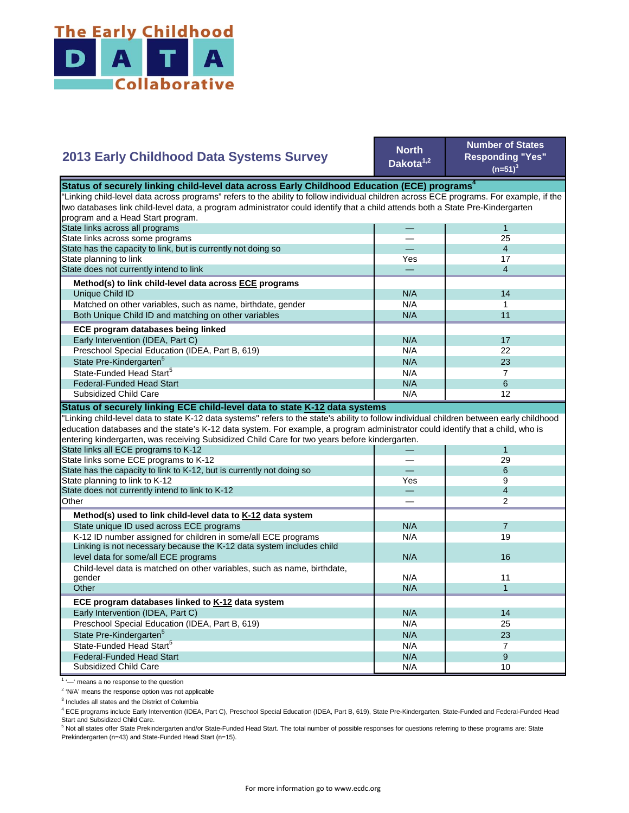

## **2013 Early Childhood Data Systems Survey**

**North Dakota1,2**

**Number of States Responding "Yes"**   $(n=51)^3$ 

| Status of securely linking child-level data across Early Childhood Education (ECE) programs <sup>4</sup>                                  |     |                |  |
|-------------------------------------------------------------------------------------------------------------------------------------------|-----|----------------|--|
| 'Linking child-level data across programs" refers to the ability to follow individual children across ECE programs. For example, if the   |     |                |  |
| two databases link child-level data, a program administrator could identify that a child attends both a State Pre-Kindergarten            |     |                |  |
| program and a Head Start program.                                                                                                         |     |                |  |
| State links across all programs                                                                                                           |     | $\mathbf{1}$   |  |
| State links across some programs                                                                                                          |     | 25             |  |
| State has the capacity to link, but is currently not doing so                                                                             |     | $\overline{4}$ |  |
| State planning to link                                                                                                                    | Yes | 17             |  |
| State does not currently intend to link                                                                                                   |     | $\overline{4}$ |  |
| Method(s) to link child-level data across ECE programs                                                                                    |     |                |  |
| Unique Child ID                                                                                                                           | N/A | 14             |  |
| Matched on other variables, such as name, birthdate, gender                                                                               | N/A | $\mathbf 1$    |  |
| Both Unique Child ID and matching on other variables                                                                                      | N/A | 11             |  |
| ECE program databases being linked                                                                                                        |     |                |  |
| Early Intervention (IDEA, Part C)                                                                                                         | N/A | 17             |  |
| Preschool Special Education (IDEA, Part B, 619)                                                                                           | N/A | 22             |  |
| State Pre-Kindergarten <sup>5</sup>                                                                                                       | N/A | 23             |  |
| State-Funded Head Start <sup>5</sup>                                                                                                      | N/A | $\overline{7}$ |  |
| <b>Federal-Funded Head Start</b>                                                                                                          | N/A | 6              |  |
| Subsidized Child Care                                                                                                                     | N/A | 12             |  |
| Status of securely linking ECE child-level data to state K-12 data systems                                                                |     |                |  |
| 'Linking child-level data to state K-12 data systems" refers to the state's ability to follow individual children between early childhood |     |                |  |
| education databases and the state's K-12 data system. For example, a program administrator could identify that a child, who is            |     |                |  |
| entering kindergarten, was receiving Subsidized Child Care for two years before kindergarten.                                             |     |                |  |
| State links all ECE programs to K-12                                                                                                      |     | $\mathbf{1}$   |  |
| State links some ECE programs to K-12                                                                                                     |     | 29             |  |
| State has the capacity to link to K-12, but is currently not doing so                                                                     |     | 6              |  |
| State planning to link to K-12                                                                                                            | Yes | 9              |  |
| State does not currently intend to link to K-12                                                                                           |     | $\overline{4}$ |  |
| Other                                                                                                                                     |     | 2              |  |
| Method(s) used to link child-level data to K-12 data system                                                                               |     |                |  |
| State unique ID used across ECE programs                                                                                                  | N/A | $\overline{7}$ |  |
| K-12 ID number assigned for children in some/all ECE programs                                                                             | N/A | 19             |  |
| Linking is not necessary because the K-12 data system includes child                                                                      |     |                |  |
| level data for some/all ECE programs                                                                                                      | N/A | 16             |  |
| Child-level data is matched on other variables, such as name, birthdate,                                                                  | N/A | 11             |  |
| gender<br>Other                                                                                                                           | N/A | $\mathbf{1}$   |  |
|                                                                                                                                           |     |                |  |
| ECE program databases linked to K-12 data system                                                                                          |     |                |  |
| Early Intervention (IDEA, Part C)                                                                                                         | N/A | 14             |  |
| Preschool Special Education (IDEA, Part B, 619)                                                                                           | N/A | 25             |  |
| State Pre-Kindergarten <sup>5</sup>                                                                                                       | N/A | 23             |  |
| State-Funded Head Start <sup>5</sup>                                                                                                      | N/A | $\overline{7}$ |  |
| <b>Federal-Funded Head Start</b>                                                                                                          | N/A | 9              |  |
| <b>Subsidized Child Care</b>                                                                                                              | N/A | 10             |  |

<sup>1</sup> '-' means a no response to the question

<sup>2</sup> 'N/A' means the response option was not applicable

<sup>3</sup> Includes all states and the District of Columbia

<sup>4</sup> ECE programs include Early Intervention (IDEA, Part C), Preschool Special Education (IDEA, Part B, 619), State Pre-Kindergarten, State-Funded and Federal-Funded Head

Start and Subsidized Child Care.<br><sup>5</sup> Not all states offer State Prekindergarten and/or State-Funded Head Start. The total number of possible responses for questions referring to these programs are: State Prekindergarten (n=43) and State-Funded Head Start (n=15).